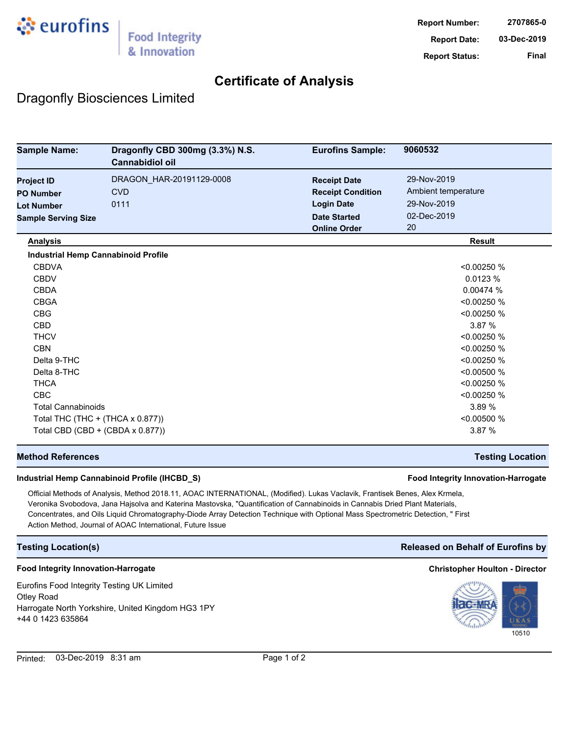

## **Certificate of Analysis**

## Dragonfly Biosciences Limited

| <b>Sample Name:</b>        | Dragonfly CBD 300mg (3.3%) N.S.<br><b>Cannabidiol oil</b> | <b>Eurofins Sample:</b>  | 9060532             |
|----------------------------|-----------------------------------------------------------|--------------------------|---------------------|
| <b>Project ID</b>          | DRAGON_HAR-20191129-0008                                  | <b>Receipt Date</b>      | 29-Nov-2019         |
| <b>PO Number</b>           | <b>CVD</b>                                                | <b>Receipt Condition</b> | Ambient temperature |
| <b>Lot Number</b>          | 0111                                                      | <b>Login Date</b>        | 29-Nov-2019         |
| <b>Sample Serving Size</b> |                                                           | <b>Date Started</b>      | 02-Dec-2019         |
|                            |                                                           | <b>Online Order</b>      | 20                  |
| <b>Analysis</b>            |                                                           |                          | <b>Result</b>       |
|                            | <b>Industrial Hemp Cannabinoid Profile</b>                |                          |                     |
| <b>CBDVA</b>               |                                                           |                          | < 0.00250 %         |
| <b>CBDV</b>                |                                                           |                          | 0.0123%             |
| <b>CBDA</b>                |                                                           |                          | 0.00474 %           |
| <b>CBGA</b>                |                                                           |                          | < 0.00250 %         |
| <b>CBG</b>                 |                                                           |                          | < 0.00250 %         |
| <b>CBD</b>                 |                                                           |                          | 3.87 %              |
| <b>THCV</b>                |                                                           |                          | < 0.00250 %         |
| <b>CBN</b>                 |                                                           |                          | < 0.00250 %         |
| Delta 9-THC                |                                                           |                          | < 0.00250 %         |
| Delta 8-THC                |                                                           |                          | < 0.00500 %         |
| <b>THCA</b>                |                                                           |                          | < 0.00250 %         |
| <b>CBC</b>                 |                                                           |                          | < 0.00250 %         |
| <b>Total Cannabinoids</b>  |                                                           | 3.89 %                   |                     |
|                            | Total THC (THC + (THCA x 0.877))                          |                          | < 0.00500 %         |
|                            | Total CBD (CBD + (CBDA x 0.877))                          |                          | 3.87 %              |

### **Method References Testing Location**

### **Industrial Hemp Cannabinoid Profile (IHCBD\_S) Food Integrity Innovation-Harrogate**

Official Methods of Analysis, Method 2018.11, AOAC INTERNATIONAL, (Modified). Lukas Vaclavik, Frantisek Benes, Alex Krmela, Veronika Svobodova, Jana Hajsolva and Katerina Mastovska, "Quantification of Cannabinoids in Cannabis Dried Plant Materials, Concentrates, and Oils Liquid Chromatography-Diode Array Detection Technique with Optional Mass Spectrometric Detection, " First Action Method, Journal of AOAC International, Future Issue

### **Testing Location(s) Released on Behalf of Eurofins by**

### **Food Integrity Innovation-Harrogate Christopher Houlton - Director**

Eurofins Food Integrity Testing UK Limited Otley Road Harrogate North Yorkshire, United Kingdom HG3 1PY +44 0 1423 635864